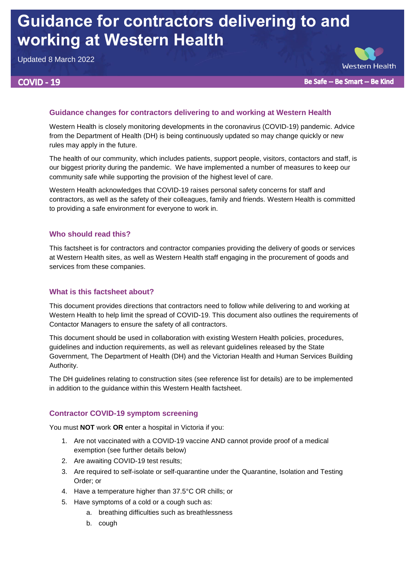# **Guidance for contractors delivering to and working at Western Health**

Updated 8 March 2022

# **COVID - 19**



Be Safe -- Be Smart -- Be Kind

# **Guidance changes for contractors delivering to and working at Western Health**

Western Health is closely monitoring developments in the coronavirus (COVID-19) pandemic. Advice from the Department of Health (DH) is being continuously updated so may change quickly or new rules may apply in the future.

The health of our community, which includes patients, support people, visitors, contactors and staff, is our biggest priority during the pandemic. We have implemented a number of measures to keep our community safe while supporting the provision of the highest level of care.

Western Health acknowledges that COVID-19 raises personal safety concerns for staff and contractors, as well as the safety of their colleagues, family and friends. Western Health is committed to providing a safe environment for everyone to work in.

## **Who should read this?**

This factsheet is for contractors and contractor companies providing the delivery of goods or services at Western Health sites, as well as Western Health staff engaging in the procurement of goods and services from these companies.

# **What is this factsheet about?**

This document provides directions that contractors need to follow while delivering to and working at Western Health to help limit the spread of COVID-19. This document also outlines the requirements of Contactor Managers to ensure the safety of all contractors.

This document should be used in collaboration with existing Western Health policies, procedures, guidelines and induction requirements, as well as relevant guidelines released by the State Government, The Department of Health (DH) and the Victorian Health and Human Services Building Authority.

The DH guidelines relating to construction sites (see reference list for details) are to be implemented in addition to the guidance within this Western Health factsheet.

## **Contractor COVID-19 symptom screening**

You must **NOT** work **OR** enter a hospital in Victoria if you:

- 1. Are not vaccinated with a COVID-19 vaccine AND cannot provide proof of a medical exemption (see further details below)
- 2. Are awaiting COVID-19 test results;
- 3. Are required to self-isolate or self-quarantine under the Quarantine, Isolation and Testing Order; or
- 4. Have a temperature higher than 37.5°C OR chills; or
- 5. Have symptoms of a cold or a cough such as:
	- a. breathing difficulties such as breathlessness
	- b. cough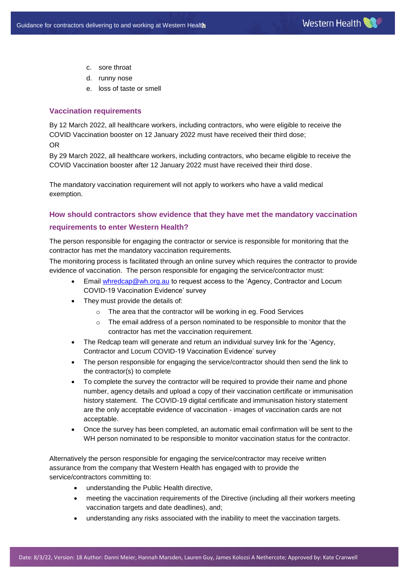- c. sore throat
- d. runny nose
- e. loss of taste or smell

#### **Vaccination requirements**

By 12 March 2022, all healthcare workers, including contractors, who were eligible to receive the COVID Vaccination booster on 12 January 2022 must have received their third dose; OR

By 29 March 2022, all healthcare workers, including contractors, who became eligible to receive the COVID Vaccination booster after 12 January 2022 must have received their third dose.

The mandatory vaccination requirement will not apply to workers who have a valid medical exemption.

### **How should contractors show evidence that they have met the mandatory vaccination**

#### **requirements to enter Western Health?**

The person responsible for engaging the contractor or service is responsible for monitoring that the contractor has met the mandatory vaccination requirements.

The monitoring process is facilitated through an online survey which requires the contractor to provide evidence of vaccination. The person responsible for engaging the service/contractor must:

- **Email [whredcap@wh.org.au](mailto:whredcap@wh.org.au) to request access to the 'Agency, Contractor and Locum** COVID-19 Vaccination Evidence' survey
- They must provide the details of:
	- o The area that the contractor will be working in eg. Food Services
	- $\circ$  The email address of a person nominated to be responsible to monitor that the contractor has met the vaccination requirement.
- The Redcap team will generate and return an individual survey link for the 'Agency, Contractor and Locum COVID-19 Vaccination Evidence' survey
- The person responsible for engaging the service/contractor should then send the link to the contractor(s) to complete
- To complete the survey the contractor will be required to provide their name and phone number, agency details and upload a copy of their vaccination certificate or immunisation history statement. The COVID-19 digital certificate and immunisation history statement are the only acceptable evidence of vaccination - images of vaccination cards are not acceptable.
- Once the survey has been completed, an automatic email confirmation will be sent to the WH person nominated to be responsible to monitor vaccination status for the contractor.

Alternatively the person responsible for engaging the service/contractor may receive written assurance from the company that Western Health has engaged with to provide the service/contractors committing to:

- understanding the Public Health directive,
- meeting the vaccination requirements of the Directive (including all their workers meeting vaccination targets and date deadlines), and;
- understanding any risks associated with the inability to meet the vaccination targets.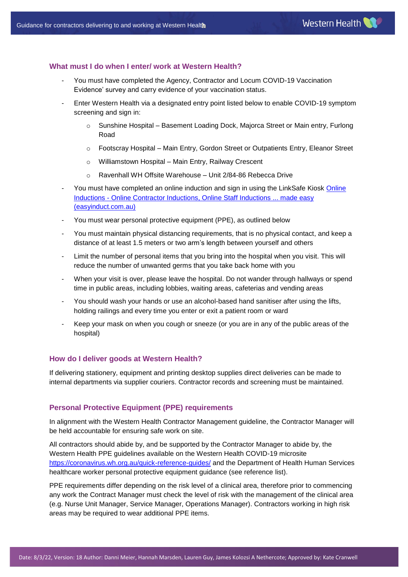#### **What must I do when I enter/ work at Western Health?**

- You must have completed the Agency, Contractor and Locum COVID-19 Vaccination Evidence' survey and carry evidence of your vaccination status.
- Enter Western Health via a designated entry point listed below to enable COVID-19 symptom screening and sign in:
	- $\circ$  Sunshine Hospital Basement Loading Dock, Majorca Street or Main entry, Furlong Road
	- o Footscray Hospital Main Entry, Gordon Street or Outpatients Entry, Eleanor Street
	- o Williamstown Hospital Main Entry, Railway Crescent
	- o Ravenhall WH Offsite Warehouse Unit 2/84-86 Rebecca Drive
- You must have completed an online induction and sign in using the LinkSafe Kiosk Online Inductions - [Online Contractor Inductions, Online Staff Inductions ... made easy](https://www.easyinduct.com.au/Inductions/Info/ba8b85df-bdf0-43a9-8c44-8836abe14bde/0)  [\(easyinduct.com.au\)](https://www.easyinduct.com.au/Inductions/Info/ba8b85df-bdf0-43a9-8c44-8836abe14bde/0)
- You must wear personal protective equipment (PPE), as outlined below
- You must maintain physical distancing requirements, that is no physical contact, and keep a distance of at least 1.5 meters or two arm's length between yourself and others
- Limit the number of personal items that you bring into the hospital when you visit. This will reduce the number of unwanted germs that you take back home with you
- When your visit is over, please leave the hospital. Do not wander through hallways or spend time in public areas, including lobbies, waiting areas, cafeterias and vending areas
- You should wash your hands or use an alcohol-based hand sanitiser after using the lifts, holding railings and every time you enter or exit a patient room or ward
- Keep your mask on when you cough or sneeze (or you are in any of the public areas of the hospital)

#### **How do I deliver goods at Western Health?**

If delivering stationery, equipment and printing desktop supplies direct deliveries can be made to internal departments via supplier couriers. Contractor records and screening must be maintained.

#### **Personal Protective Equipment (PPE) requirements**

In alignment with the Western Health Contractor Management guideline, the Contractor Manager will be held accountable for ensuring safe work on site.

All contractors should abide by, and be supported by the Contractor Manager to abide by, the Western Health PPE guidelines available on the Western Health COVID-19 microsite <https://coronavirus.wh.org.au/quick-reference-guides/> and the Department of Health Human Services healthcare worker personal protective equipment guidance (see reference list).

PPE requirements differ depending on the risk level of a clinical area, therefore prior to commencing any work the Contract Manager must check the level of risk with the management of the clinical area (e.g. Nurse Unit Manager, Service Manager, Operations Manager). Contractors working in high risk areas may be required to wear additional PPE items.